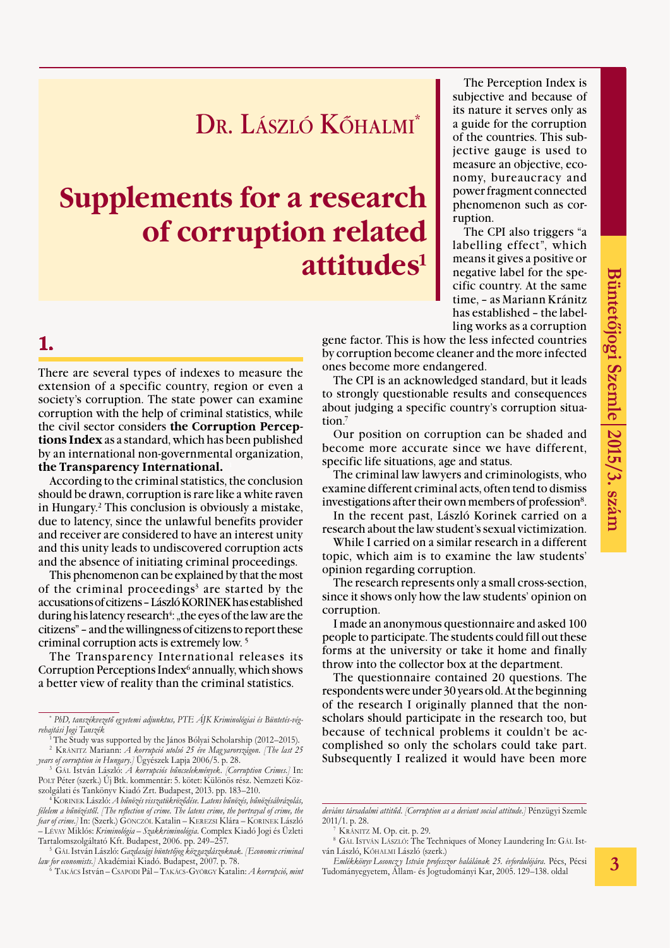## Dr. László Kőhalmi\*

# **Supplements for a research of corruption related attitudes1**

#### **1.**

There are several types of indexes to measure the extension of a specific country, region or even a society's corruption. The state power can examine corruption with the help of criminal statistics, while the civil sector considers **the Corruption Perceptions Index** as a standard, which has been published by an international non-governmental organization, **the Transparency International.** <sup>1</sup>

According to the criminal statistics, the conclusion should be drawn, corruption is rare like a white raven in Hungary.2 This conclusion is obviously a mistake, due to latency, since the unlawful benefits provider and receiver are considered to have an interest unity and this unity leads to undiscovered corruption acts and the absence of initiating criminal proceedings.

This phenomenon can be explained by that the most of the criminal proceedings<sup>3</sup> are started by the accusations of citizens – László KORINEK has established during his latency research<sup>4</sup>: "the eyes of the law are the citizens" – and the willingness of citizens to report these criminal corruption acts is extremely low. 5

The Transparency International releases its Corruption Perceptions Index<sup>6</sup> annually, which shows a better view of reality than the criminal statistics.

<sup>3</sup> Gál István László: *A korrupciós bűncselekmények*. *[Corruption Crimes.]* In: Polt Péter (szerk.) Új Btk. kommentár: 5. kötet: Különös rész. Nemzeti Közszolgálati és Tankönyv Kiadó Zrt. Budapest, 2013. pp. 183–210.

<sup>4</sup> Korinek László: *A bűnözés visszatükröződése. Latens bűnözés, bűnözésábrázolás, félelem a bűnözéstől*. *[The reflection of crime. The latens crime, the portrayal of crime, the fear of crime.]* In: (Szerk.) Gönczöl Katalin – Kerezsi Klára – Korinek László – Lévay Miklós: *Kriminológia – Szakkriminológia*. Complex Kiadó Jogi és Üzleti

<sup>5</sup> Gát. István László: *Gazdasági büntetőjog köz gazdászoknak. [Economic criminal law for economists.]* Akadémiai Kiadó. Budapest, 2007. p. 78. 6 Takács István – Csapodi Pál – Takács-György Katalin: *A korrupció, mint* 

The Perception Index is subjective and because of its nature it serves only as a guide for the corruption of the countries. This subjective gauge is used to measure an objective, economy, bureaucracy and power fragment connected phenomenon such as corruption.

The CPI also triggers "a labelling effect", which means it gives a positive or negative label for the specific country. At the same time, – as Mariann Kránitz has established – the labelling works as a corruption

gene factor. This is how the less infected countries by corruption become cleaner and the more infected ones become more endangered.

The CPI is an acknowledged standard, but it leads to strongly questionable results and consequences about judging a specific country's corruption situation.7

Our position on corruption can be shaded and become more accurate since we have different, specific life situations, age and status.

The criminal law lawyers and criminologists, who examine different criminal acts, often tend to dismiss investigations after their own members of profession8.

In the recent past, László Korinek carried on a research about the law student's sexual victimization.

While I carried on a similar research in a different topic, which aim is to examine the law students' opinion regarding corruption.

The research represents only a small cross-section, since it shows only how the law students' opinion on corruption.

I made an anonymous questionnaire and asked 100 people to participate. The students could fill out these forms at the university or take it home and finally throw into the collector box at the department.

The questionnaire contained 20 questions. The respondents were under 30 years old. At the beginning of the research I originally planned that the nonscholars should participate in the research too, but because of technical problems it couldn't be accomplished so only the scholars could take part. Subsequently I realized it would have been more

<sup>8</sup> Gál István László: The Techniques of Money Laundering In: Gál István László, Kőhalmi László (szerk.)

*Emlékkönyv Losoncz y István professzor halálának 25. évfordulójára.* Pécs, Pécsi Tudományegyetem, Állam- és Jogtudományi Kar, 2005. 129–138. oldal

<sup>\*</sup> *PhD, tanszékvezető eg yetemi adjunktus, PTE ÁJK Kriminológiai és Büntetés-végrehajtási Jogi Tanszék*

<sup>1</sup> The Study was supported by the János Bólyai Scholarship (2012–2015). <sup>2</sup> Kránitz Mariann: *A korrupció utolsó 25 éve Mag yarországon*. *[The last 25 years of corruption in Hungary.]* Ügyészek Lapja 2006/5. p. 28.

*deviáns társadalmi attitűd*. *[Corruption as a deviant social attitude.]* Pénzügyi Szemle 2011/1. p. 28.

KRÁNITZ M. Op. cit. p. 29.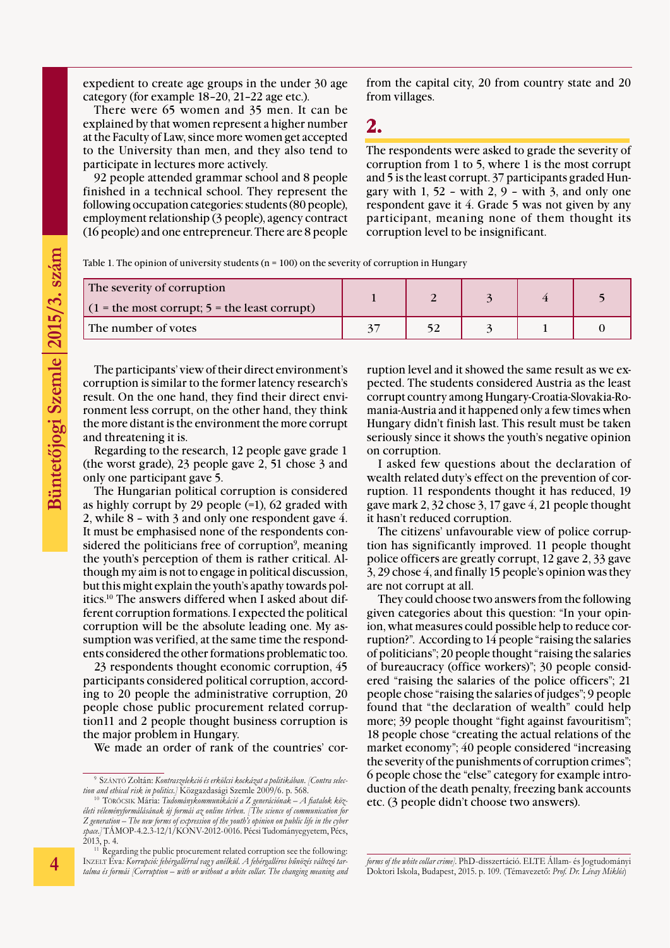expedient to create age groups in the under 30 age category (for example 18–20, 21–22 age etc.).

There were 65 women and 35 men. It can be explained by that women represent a higher number at the Faculty of Law, since more women get accepted to the University than men, and they also tend to participate in lectures more actively.

92 people attended grammar school and 8 people finished in a technical school. They represent the following occupation categories: students (80 people), employment relationship (3 people), agency contract (16 people) and one entrepreneur. There are 8 people from the capital city, 20 from country state and 20 from villages.

**2.** 

The respondents were asked to grade the severity of corruption from 1 to 5, where 1 is the most corrupt and 5 is the least corrupt. 37 participants graded Hungary with  $1, 52$  – with  $2, 9$  – with  $3$ , and only one respondent gave it 4. Grade 5 was not given by any participant, meaning none of them thought its corruption level to be insignificant.

Table 1. The opinion of university students ( $n = 100$ ) on the severity of corruption in Hungary

| The severity of corruption<br>$(1 =$ the most corrupt; $5 =$ the least corrupt) |  |  |  |
|---------------------------------------------------------------------------------|--|--|--|
| The number of votes                                                             |  |  |  |

The participants' view of their direct environment's corruption is similar to the former latency research's result. On the one hand, they find their direct environment less corrupt, on the other hand, they think the more distant is the environment the more corrupt and threatening it is.

Regarding to the research, 12 people gave grade 1 (the worst grade), 23 people gave 2, 51 chose 3 and only one participant gave 5.

The Hungarian political corruption is considered as highly corrupt by 29 people  $(=1)$ , 62 graded with 2, while 8 – with 3 and only one respondent gave 4. It must be emphasised none of the respondents considered the politicians free of corruption<sup>9</sup>, meaning the youth's perception of them is rather critical. Although my aim is not to engage in political discussion, but this might explain the youth's apathy towards politics.10 The answers differed when I asked about different corruption formations. I expected the political corruption will be the absolute leading one. My assumption was verified, at the same time the respondents considered the other formations problematic too.

23 respondents thought economic corruption, 45 participants considered political corruption, according to 20 people the administrative corruption, 20 people chose public procurement related corruption11 and 2 people thought business corruption is the major problem in Hungary.

We made an order of rank of the countries' cor-

ruption level and it showed the same result as we expected. The students considered Austria as the least corrupt country among Hungary-Croatia-Slovakia-Romania-Austria and it happened only a few times when Hungary didn't finish last. This result must be taken seriously since it shows the youth's negative opinion on corruption.

I asked few questions about the declaration of wealth related duty's effect on the prevention of corruption. 11 respondents thought it has reduced, 19 gave mark 2, 32 chose 3, 17 gave 4, 21 people thought it hasn't reduced corruption.

The citizens' unfavourable view of police corruption has significantly improved. 11 people thought police officers are greatly corrupt, 12 gave 2, 33 gave 3, 29 chose 4, and finally 15 people's opinion was they are not corrupt at all.

They could choose two answers from the following given categories about this question: "In your opinion, what measures could possible help to reduce corruption?". According to 14 people "raising the salaries of politicians"; 20 people thought "raising the salaries of bureaucracy (office workers)"; 30 people considered "raising the salaries of the police officers"; 21 people chose "raising the salaries of judges"; 9 people found that "the declaration of wealth" could help more; 39 people thought "fight against favouritism"; 18 people chose "creating the actual relations of the market economy"; 40 people considered "increasing the severity of the punishments of corruption crimes"; 6 people chose the "else" category for example introduction of the death penalty, freezing bank accounts etc. (3 people didn't choose two answers).

<sup>9</sup> Szántó Zoltán: *Kontraszelekció és erkölcsi kockázat a politikában*. *[Contra selection and ethical risk in politics.]* Közgazdasági Szemle 2009/6. p. 568.

<sup>10</sup> Törőcsik Mária: *Tudománykommunikáció a Z generációnak – A fiatalok közéleti véleményformálásának új formái az online térben*. *[The science of communication for Z generation – The new forms of expression of the youth's opinion on public life in the cyber space.]* TÁMOP-4.2.3-12/1/KONV-2012-0016. Pécsi Tudományegyetem, Pécs, 2013, p. 4.

<sup>&</sup>lt;sup>11</sup> Regarding the public procurement related corruption see the following: INZELT Éva: Korrupció: fehérgallérral vagy anélkül. A fehérgalléros bűnözés változó tar*talma és formái [Corruption – with or without a white collar. The changing meaning and* 

*forms of the white collar crime].* PhD-disszertáció. ELTE Állam- és Jogtudományi Doktori Iskola, Budapest, 2015. p. 109. (Témavezető: *Prof. Dr. Lévay Miklós*)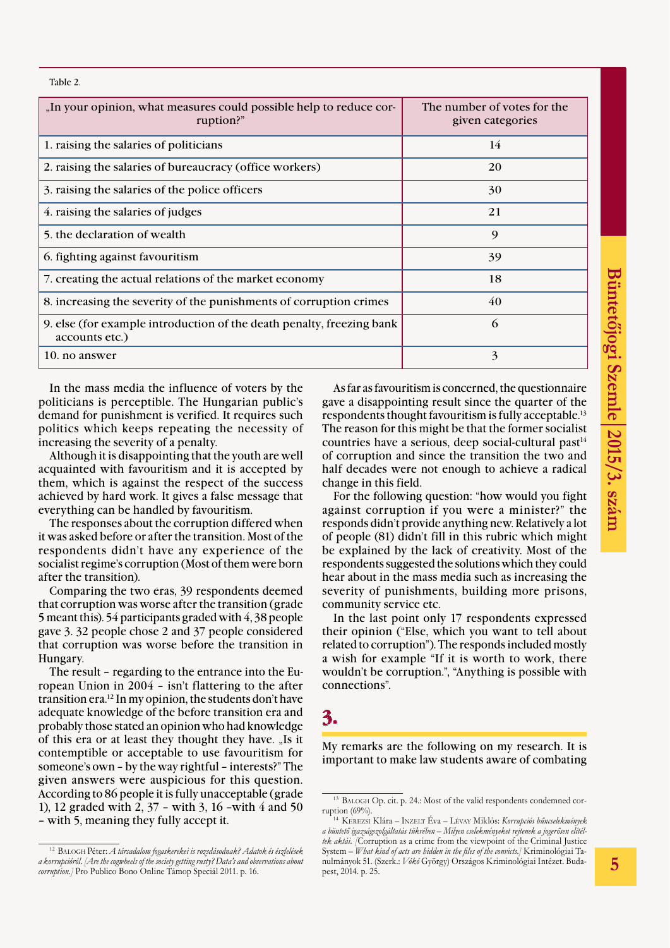Table 2.

| "In your opinion, what measures could possible help to reduce cor-<br>ruption?"         | The number of votes for the<br>given categories |  |  |
|-----------------------------------------------------------------------------------------|-------------------------------------------------|--|--|
| 1. raising the salaries of politicians                                                  | 14                                              |  |  |
| 2. raising the salaries of bureaucracy (office workers)                                 | 20                                              |  |  |
| 3. raising the salaries of the police officers                                          | 30                                              |  |  |
| 4. raising the salaries of judges                                                       | 21                                              |  |  |
| 5. the declaration of wealth                                                            | 9                                               |  |  |
| 6. fighting against favouritism                                                         | 39                                              |  |  |
| 7. creating the actual relations of the market economy                                  | 18                                              |  |  |
| 8. increasing the severity of the punishments of corruption crimes                      | 40                                              |  |  |
| 9. else (for example introduction of the death penalty, freezing bank<br>accounts etc.) | 6                                               |  |  |
| 10. no answer                                                                           | 3                                               |  |  |

In the mass media the influence of voters by the politicians is perceptible. The Hungarian public's demand for punishment is verified. It requires such politics which keeps repeating the necessity of increasing the severity of a penalty.

Although it is disappointing that the youth are well acquainted with favouritism and it is accepted by them, which is against the respect of the success achieved by hard work. It gives a false message that everything can be handled by favouritism.

The responses about the corruption differed when it was asked before or after the transition. Most of the respondents didn't have any experience of the socialist regime's corruption (Most of them were born after the transition).

Comparing the two eras, 39 respondents deemed that corruption was worse after the transition (grade 5 meant this). 54 participants graded with 4, 38 people gave 3. 32 people chose 2 and 37 people considered that corruption was worse before the transition in Hungary.

The result – regarding to the entrance into the European Union in 2004 – isn't flattering to the after transition era.12 In my opinion, the students don't have adequate knowledge of the before transition era and probably those stated an opinion who had knowledge of this era or at least they thought they have. "Is it contemptible or acceptable to use favouritism for someone's own – by the way rightful – interests?" The given answers were auspicious for this question. According to 86 people it is fully unacceptable (grade 1), 12 graded with 2, 37 – with 3, 16 –with 4 and 50 – with 5, meaning they fully accept it.

As far as favouritism is concerned, the questionnaire gave a disappointing result since the quarter of the respondents thought favouritism is fully acceptable.13 The reason for this might be that the former socialist countries have a serious, deep social-cultural past<sup>14</sup> of corruption and since the transition the two and half decades were not enough to achieve a radical change in this field.

For the following question: "how would you fight against corruption if you were a minister?" the responds didn't provide anything new. Relatively a lot of people (81) didn't fill in this rubric which might be explained by the lack of creativity. Most of the respondents suggested the solutions which they could hear about in the mass media such as increasing the severity of punishments, building more prisons, community service etc.

In the last point only 17 respondents expressed their opinion ("Else, which you want to tell about related to corruption"). The responds included mostly a wish for example "If it is worth to work, there wouldn't be corruption.", "Anything is possible with connections".

### **3.**

My remarks are the following on my research. It is important to make law students aware of combating

<sup>12</sup> Balogh Péter: *A társadalom fogaskerekei is rozsdásodnak? Adatok és észlelések a korrupcióról*. *[Are the cogwheels of the society getting rusty? Data's and observations about corruption.]* Pro Publico Bono Online Támop Speciál 2011. p. 16.

<sup>13</sup> Balogh Op. cit. p. 24.: Most of the valid respondents condemned corruption (69%).

<sup>14</sup> Kerezsi Klára – Inzelt Éva – Lévay Miklós: *Korrupciós bűncselekmények a büntető igazságszolgáltatás tükrében – Milyen cselekményeket rejtenek a jogerősen elítéltek aktái*. *[*Corruption as a crime from the viewpoint of the Criminal Justice System – *What kind of acts are hidden in the files of the convicts.]* Kriminológiai Tanulmányok 51. (Szerk.: *Vókó* György) Országos Kriminológiai Intézet. Budapest, 2014. p. 25.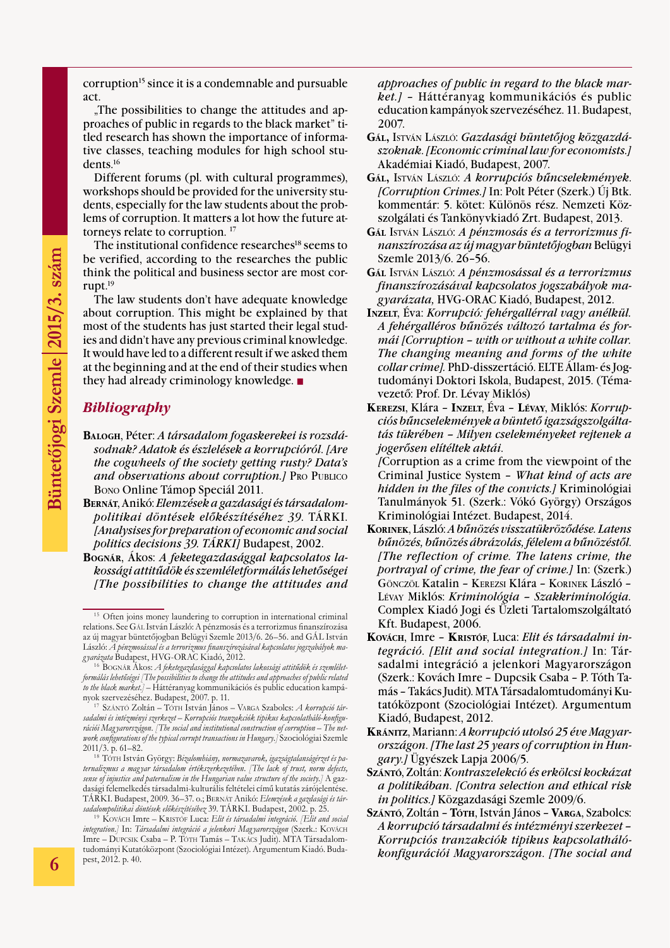corruption<sup>15</sup> since it is a condemnable and pursuable act.

. The possibilities to change the attitudes and approaches of public in regards to the black market" titled research has shown the importance of informative classes, teaching modules for high school students.16

Different forums (pl. with cultural programmes), workshops should be provided for the university students, especially for the law students about the problems of corruption. It matters a lot how the future attorneys relate to corruption. 17

The institutional confidence researches<sup>18</sup> seems to be verified, according to the researches the public think the political and business sector are most corrupt.19

The law students don't have adequate knowledge about corruption. This might be explained by that most of the students has just started their legal studies and didn't have any previous criminal knowledge. It would have led to a different result if we asked them at the beginning and at the end of their studies when they had already criminology knowledge.  $\blacksquare$ 

#### *Bibliography*

- **Balogh**, Péter: *A társadalom fogaskerekei is rozsdásodnak? Adatok és észlelések a korrupcióról*. *[Are the cogwheels of the society getting rusty? Data's and observations about corruption.]* Pro Publico Bono Online Támop Speciál 2011.
- **Bernát**, Anikó: *Elemzések a gazdasági és társadalompolitikai döntések előkészítéséhez 39*. TÁRKI. *[Analysises for preparation of economic and social politics decisions 39. TÁRKI]* Budapest, 2002.
- **Bognár**, Ákos: *A feketegazdasággal kapcsolatos lakossági attitűdök és szemléletformálás lehetőségei [The possibilities to change the attitudes and*

*approaches of public in regard to the black market.]* – Háttéranyag kommunikációs és public education kampányok szervezéséhez. 11. Budapest, 2007.

- **Gál,** István László: *Gazdasági büntetőjog közgazdászoknak*. *[Economic criminal law for economists.]* Akadémiai Kiadó, Budapest, 2007.
- **Gál,** István László: *A korrupciós bűncselekmények*. *[Corruption Crimes.]* In: Polt Péter (Szerk.) Új Btk. kommentár: 5. kötet: Különös rész. Nemzeti Közszolgálati és Tankönyvkiadó Zrt. Budapest, 2013.
- **Gál** István László: *A pénzmosás és a terrorizmus finanszírozása az új magyar büntetőjogban*Belügyi Szemle 2013/6. 26–56.
- **Gál** István László: *A pénzmosással és a terrorizmus finanszírozásával kapcsolatos jogszabályok magyarázata,* HVG-ORAC Kiadó, Budapest, 2012.
- **Inzelt**, Éva: *Korrupció: fehérgallérral vagy anélkül. A fehérgalléros bűnözés változó tartalma és formái [Corruption – with or without a white collar. The changing meaning and forms of the white collar crime].* PhD-disszertáció. ELTE Állam- és Jogtudományi Doktori Iskola, Budapest, 2015. (Témavezető: Prof. Dr. Lévay Miklós)
- **Kerezsi**, Klára **Inzelt**, Éva **Lévay**, Miklós: *Korrupciós bűncselekmények a büntető igazságszolgáltatás tükrében – Milyen cselekményeket rejtenek a jogerősen elítéltek aktái*.

*[*Corruption as a crime from the viewpoint of the Criminal Justice System – *What kind of acts are hidden in the files of the convicts.]* Kriminológiai Tanulmányok 51. (Szerk.: Vókó György) Országos Kriminológiai Intézet. Budapest, 2014.

- **Korinek**, László: *A bűnözés visszatükröződése. Latens bűnözés, bűnözés ábrázolás, félelem a bűnözéstől*. *[The reflection of crime. The latens crime, the portrayal of crime, the fear of crime.]* In: (Szerk.) Gönczöl Katalin – Kerezsi Klára – Korinek László – Lévay Miklós: *Kriminológia – Szakkriminológia.*  Complex Kiadó Jogi és Üzleti Tartalomszolgáltató Kft. Budapest, 2006.
- **Kovách**, Imre **Kristóf**, Luca: *Elit és társadalmi integráció*. *[Elit and social integration.]* In: Társadalmi integráció a jelenkori Magyarországon (Szerk.: Kovách Imre – Dupcsik Csaba – P. Tóth Tamás – Takács Judit). MTA Társadalomtudományi Kutatóközpont (Szociológiai Intézet). Argumentum Kiadó, Budapest, 2012.
- **Kránitz**, Mariann: *A korrupció utolsó 25 éve Magyarországon*. *[The last 25 years of corruption in Hungary.]* Ügyészek Lapja 2006/5.
- **Szántó**, Zoltán: *Kontraszelekció és erkölcsi kockázat a politikában*. *[Contra selection and ethical risk in politics.]* Közgazdasági Szemle 2009/6.
- **Szántó**, Zoltán **Tóth**, István János **Varga**, Szabolcs: *A korrupció társadalmi és intézményi szerkezet – Korrupciós tranzakciók tipikus kapcsolathálókonfigurációi Magyarországon*. *[The social and*

<sup>&</sup>lt;sup>15</sup> Often joins money laundering to corruption in international criminal relations. See Gál István László: A pénzmosás és a terrorizmus finanszírozása az új magyar büntetőjogban Belügyi Szemle 2013/6. 26–56. and GÁL István László: *A pénzmosással és a terrorizmus finanszírozásával kapcsolatos jogszabályok mag yarázata* Budapest, HVG-ORAC Kiadó, 2012.

<sup>16</sup> Bognár Ákos: *A feketegazdasággal kapcsolatos lakossági attitűdök és szemléletformálás lehetőségei [The possibilities to change the attitudes and approaches of public related to the black market.]* – Háttéranyag kommunikációs és public education kampányok szervezéséhez. Budapest, 2007. p. 11.

<sup>17</sup> Szántó Zoltán – Tóth István János – Varga Szabolcs: *A korrupció társadalmi és intézményi szerkezet – Korrupciós tranzakciók tipikus kapcsolatháló-konfigurációi Mag yarországon*. *[The social and institutional construction of corruption – The network configurations of the typical corrupt transactions in Hungary.]* Szociológiai Szemle 2011/3. p. 61–82.

<sup>&</sup>lt;sup>18</sup> Tórn István György: Bizalomhiány, normazavarok, igazságtalanságérzet és pa*ternalizmus a mag yar társadalom értékszerkezetében*. *[The lack of trust, norm defects, sense of injustice and paternalism in the Hungarian value structure of the society.]* A gazdasági felemelkedés társadalmi-kulturális feltételei című kutatás zárójelentése. TÁRKI. Budapest, 2009. 36–37. o.; Bernát Anikó: *Elemzések a gazdasági és társadalompolitikai döntések előkészítéséhez* 39. TÁRKI. Budapest, 2002. p. 25.

<sup>&</sup>lt;sup>19</sup> KOVÁCH Imre – KRISTÓF Luca: *Elit és társadalmi integráció. /Elit and social integration.]* In: *Társadalmi integráció a jelenkori Mag yarországon* (Szerk.: Kovách Imre – Dupcsik Csaba – P. Tóth Tamás – Takács Judit). MTA Társadalomtudományi Kutatóközpont (Szociológiai Intézet). Argumentum Kiadó. Budapest, 2012. p. 40.